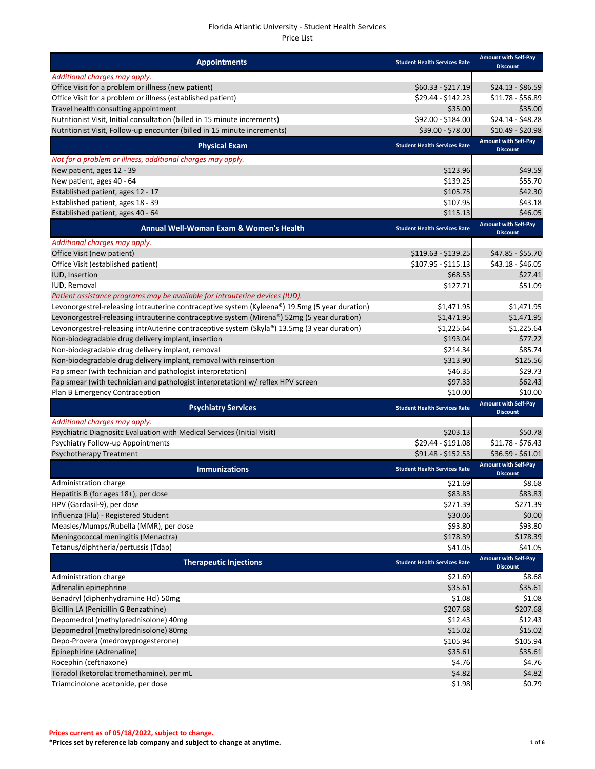| <b>Appointments</b>                                                                            | <b>Student Health Services Rate</b> | <b>Amount with Self-Pay</b><br><b>Discount</b> |
|------------------------------------------------------------------------------------------------|-------------------------------------|------------------------------------------------|
| Additional charges may apply.                                                                  |                                     |                                                |
| Office Visit for a problem or illness (new patient)                                            | $$60.33 - $217.19$                  | $$24.13 - $86.59$                              |
| Office Visit for a problem or illness (established patient)                                    | \$29.44 - \$142.23                  | $$11.78 - $56.89$                              |
| Travel health consulting appointment                                                           | \$35.00                             | \$35.00                                        |
| Nutritionist Visit, Initial consultation (billed in 15 minute increments)                      | \$92.00 - \$184.00                  | $$24.14 - $48.28$                              |
| Nutritionist Visit, Follow-up encounter (billed in 15 minute increments)                       | \$39.00 - \$78.00                   | $$10.49 - $20.98$                              |
| <b>Physical Exam</b>                                                                           | <b>Student Health Services Rate</b> | <b>Amount with Self-Pay</b><br><b>Discount</b> |
| Not for a problem or illness, additional charges may apply.                                    |                                     |                                                |
| New patient, ages 12 - 39                                                                      | \$123.96                            | \$49.59                                        |
| New patient, ages 40 - 64                                                                      | \$139.25                            | \$55.70                                        |
| Established patient, ages 12 - 17                                                              | \$105.75                            | \$42.30                                        |
| Established patient, ages 18 - 39                                                              | \$107.95                            | \$43.18                                        |
| Established patient, ages 40 - 64                                                              | \$115.13                            | \$46.05                                        |
| Annual Well-Woman Exam & Women's Health                                                        | <b>Student Health Services Rate</b> | <b>Amount with Self-Pay</b><br><b>Discount</b> |
| Additional charges may apply.                                                                  |                                     |                                                |
| Office Visit (new patient)                                                                     | $$119.63 - $139.25$                 | \$47.85 - \$55.70                              |
| Office Visit (established patient)                                                             | \$107.95 - \$115.13                 | \$43.18 - \$46.05                              |
| IUD, Insertion                                                                                 | \$68.53                             | \$27.41                                        |
| IUD, Removal                                                                                   | \$127.71                            | \$51.09                                        |
| Patient assistance programs may be available for intrauterine devices (IUD).                   |                                     |                                                |
| Levonorgestrel-releasing intrauterine contraceptive system (Kyleena®) 19.5mg (5 year duration) | \$1,471.95                          | \$1,471.95                                     |
| Levonorgestrel-releasing intrauterine contraceptive system (Mirena®) 52mg (5 year duration)    | \$1,471.95                          | \$1,471.95                                     |
| Levonorgestrel-releasing intrAuterine contraceptive system (Skyla®) 13.5mg (3 year duration)   | \$1,225.64                          | \$1,225.64                                     |
| Non-biodegradable drug delivery implant, insertion                                             | \$193.04                            | \$77.22                                        |
| Non-biodegradable drug delivery implant, removal                                               | \$214.34                            | \$85.74                                        |
| Non-biodegradable drug delivery implant, removal with reinsertion                              | \$313.90                            | \$125.56                                       |
| Pap smear (with technician and pathologist interpretation)                                     | \$46.35                             | \$29.73                                        |
| Pap smear (with technician and pathologist interpretation) w/ reflex HPV screen                | \$97.33                             | \$62.43                                        |
| Plan B Emergency Contraception                                                                 | \$10.00                             | \$10.00                                        |
| <b>Psychiatry Services</b>                                                                     | <b>Student Health Services Rate</b> | <b>Amount with Self-Pay</b><br><b>Discount</b> |
| Additional charges may apply.                                                                  |                                     |                                                |
| Psychiatric Diagnositc Evaluation with Medical Services (Initial Visit)                        | \$203.13                            | \$50.78                                        |
| Psychiatry Follow-up Appointments                                                              | \$29.44 - \$191.08                  | $$11.78 - $76.43$                              |
| <b>Psychotherapy Treatment</b>                                                                 | \$91.48 - \$152.53                  | $$36.59 - $61.01$                              |
| <b>Immunizations</b>                                                                           | <b>Student Health Services Rate</b> | <b>Amount with Self-Pay</b>                    |
| Administration charge                                                                          | \$21.69                             | <b>Discount</b><br>\$8.68                      |
| Hepatitis B (for ages 18+), per dose                                                           | \$83.83                             | \$83.83                                        |
| HPV (Gardasil-9), per dose                                                                     | \$271.39                            | \$271.39                                       |
| Influenza (Flu) - Registered Student                                                           | \$30.06                             | \$0.00                                         |
| Measles/Mumps/Rubella (MMR), per dose                                                          | \$93.80                             | \$93.80                                        |
| Meningococcal meningitis (Menactra)                                                            | \$178.39                            | \$178.39                                       |
| Tetanus/diphtheria/pertussis (Tdap)                                                            | \$41.05                             | \$41.05                                        |
| <b>Therapeutic Injections</b>                                                                  | <b>Student Health Services Rate</b> | <b>Amount with Self-Pay</b>                    |
| Administration charge                                                                          | \$21.69                             | <b>Discount</b><br>\$8.68                      |
| Adrenalin epinephrine                                                                          | \$35.61                             | \$35.61                                        |
| Benadryl (diphenhydramine Hcl) 50mg                                                            | \$1.08                              | \$1.08                                         |
| Bicillin LA (Penicillin G Benzathine)                                                          | \$207.68                            | \$207.68                                       |
| Depomedrol (methylprednisolone) 40mg                                                           | \$12.43                             | \$12.43                                        |
| Depomedrol (methylprednisolone) 80mg                                                           | \$15.02                             | \$15.02                                        |
| Depo-Provera (medroxyprogesterone)                                                             |                                     | \$105.94                                       |
|                                                                                                |                                     |                                                |
|                                                                                                | \$105.94                            |                                                |
| Epinephirine (Adrenaline)                                                                      | \$35.61                             | \$35.61                                        |
| Rocephin (ceftriaxone)<br>Toradol (ketorolac tromethamine), per mL                             | \$4.76<br>\$4.82                    | \$4.76<br>\$4.82                               |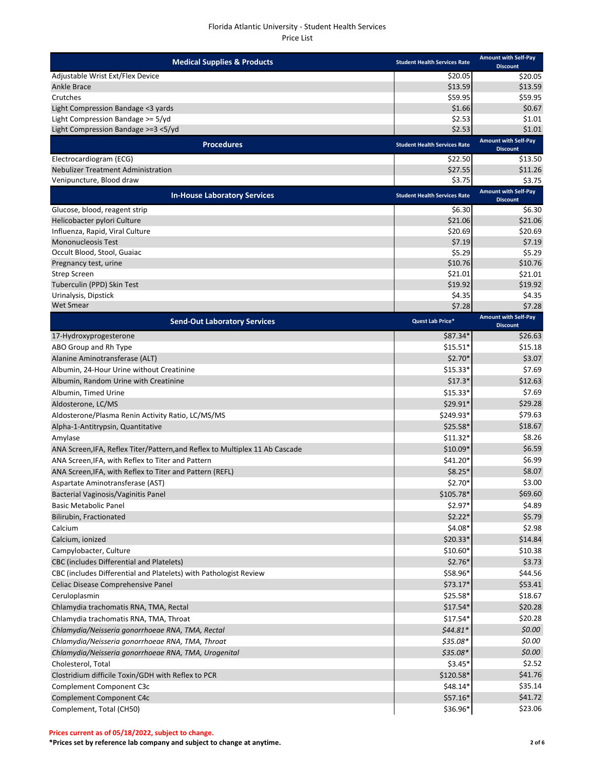| <b>Medical Supplies &amp; Products</b>                                       | <b>Student Health Services Rate</b> | <b>Amount with Self-Pay</b><br><b>Discount</b> |
|------------------------------------------------------------------------------|-------------------------------------|------------------------------------------------|
| Adjustable Wrist Ext/Flex Device                                             | \$20.05                             | \$20.05                                        |
| Ankle Brace                                                                  | \$13.59                             | \$13.59                                        |
| Crutches                                                                     | \$59.95                             | \$59.95                                        |
| Light Compression Bandage <3 yards                                           | \$1.66                              | \$0.67                                         |
| Light Compression Bandage >= 5/yd                                            | \$2.53                              | \$1.01                                         |
| Light Compression Bandage >=3 <5/yd                                          | \$2.53                              | \$1.01                                         |
| <b>Procedures</b>                                                            | <b>Student Health Services Rate</b> | <b>Amount with Self-Pay</b><br><b>Discount</b> |
| Electrocardiogram (ECG)                                                      | \$22.50                             | \$13.50                                        |
| <b>Nebulizer Treatment Administration</b>                                    | \$27.55                             | \$11.26                                        |
| Venipuncture, Blood draw                                                     | \$3.75                              | \$3.75                                         |
| <b>In-House Laboratory Services</b>                                          | <b>Student Health Services Rate</b> | <b>Amount with Self-Pay</b><br><b>Discount</b> |
| Glucose, blood, reagent strip                                                | \$6.30                              | \$6.30                                         |
| Helicobacter pylori Culture                                                  | \$21.06                             | \$21.06                                        |
| Influenza, Rapid, Viral Culture                                              | \$20.69                             | \$20.69                                        |
| <b>Mononucleosis Test</b>                                                    | \$7.19                              | \$7.19                                         |
| Occult Blood, Stool, Guaiac                                                  | \$5.29                              | \$5.29                                         |
| Pregnancy test, urine                                                        | \$10.76                             | \$10.76                                        |
| <b>Strep Screen</b><br>Tuberculin (PPD) Skin Test                            | \$21.01<br>\$19.92                  | \$21.01<br>\$19.92                             |
| Urinalysis, Dipstick                                                         | \$4.35                              | \$4.35                                         |
| <b>Wet Smear</b>                                                             | \$7.28                              | \$7.28                                         |
|                                                                              |                                     | <b>Amount with Self-Pay</b>                    |
| <b>Send-Out Laboratory Services</b>                                          | Quest Lab Price*                    | <b>Discount</b>                                |
| 17-Hydroxyprogesterone                                                       | $$87.34*$                           | \$26.63                                        |
| ABO Group and Rh Type                                                        | $$15.51*$                           | \$15.18                                        |
| Alanine Aminotransferase (ALT)                                               | $$2.70*$                            | \$3.07                                         |
| Albumin, 24-Hour Urine without Creatinine                                    | $$15.33*$                           | \$7.69                                         |
| Albumin, Random Urine with Creatinine                                        | $$17.3*$                            | \$12.63                                        |
| Albumin, Timed Urine                                                         | $$15.33*$                           | \$7.69                                         |
| Aldosterone, LC/MS                                                           | \$29.91*                            | \$29.28                                        |
| Aldosterone/Plasma Renin Activity Ratio, LC/MS/MS                            | \$249.93*                           | \$79.63                                        |
| Alpha-1-Antitrypsin, Quantitative                                            | $$25.58*$                           | \$18.67                                        |
| Amylase                                                                      | $$11.32*$                           | \$8.26                                         |
| ANA Screen, IFA, Reflex Titer/Pattern, and Reflex to Multiplex 11 Ab Cascade | $$10.09*$                           | \$6.59                                         |
| ANA Screen, IFA, with Reflex to Titer and Pattern                            | \$41.20*                            | \$6.99                                         |
| ANA Screen, IFA, with Reflex to Titer and Pattern (REFL)                     | $$8.25$ <sup>*</sup>                | \$8.07                                         |
| Aspartate Aminotransferase (AST)                                             | $$2.70*$                            | \$3.00                                         |
| <b>Bacterial Vaginosis/Vaginitis Panel</b>                                   | $$105.78*$                          | \$69.60                                        |
| <b>Basic Metabolic Panel</b>                                                 | $$2.97*$                            | \$4.89                                         |
| Bilirubin, Fractionated                                                      | $$2.22*$                            | \$5.79                                         |
| Calcium                                                                      | $$4.08*$                            | \$2.98                                         |
| Calcium, ionized                                                             | $$20.33*$                           | \$14.84                                        |
| Campylobacter, Culture                                                       | $$10.60*$                           | \$10.38                                        |
| CBC (includes Differential and Platelets)                                    | $$2.76*$                            | \$3.73                                         |
| CBC (includes Differential and Platelets) with Pathologist Review            | \$58.96*                            | \$44.56                                        |
| Celiac Disease Comprehensive Panel                                           | $$73.17*$                           | \$53.41                                        |
| Ceruloplasmin                                                                | \$25.58*                            | \$18.67                                        |
| Chlamydia trachomatis RNA, TMA, Rectal                                       | $$17.54*$                           | \$20.28                                        |
| Chlamydia trachomatis RNA, TMA, Throat                                       | $$17.54*$                           | \$20.28                                        |
| Chlamydia/Neisseria gonorrhoeae RNA, TMA, Rectal                             | $$44.81*$                           | \$0.00                                         |
| Chlamydia/Neisseria gonorrhoeae RNA, TMA, Throat                             | $$35.08*$                           | \$0.00                                         |
| Chlamydia/Neisseria gonorrhoeae RNA, TMA, Urogenital                         | $$35.08*$                           | \$0.00                                         |
| Cholesterol, Total                                                           | $$3.45*$                            | \$2.52                                         |
| Clostridium difficile Toxin/GDH with Reflex to PCR                           | \$120.58*                           | \$41.76                                        |
| Complement Component C3c                                                     | $$48.14*$                           | \$35.14                                        |
| Complement Component C4c                                                     | \$57.16*                            | \$41.72                                        |
| Complement, Total (CH50)                                                     | \$36.96*                            | \$23.06                                        |

**\*Prices set by reference lab company and subject to change at anytime. 2 of 6**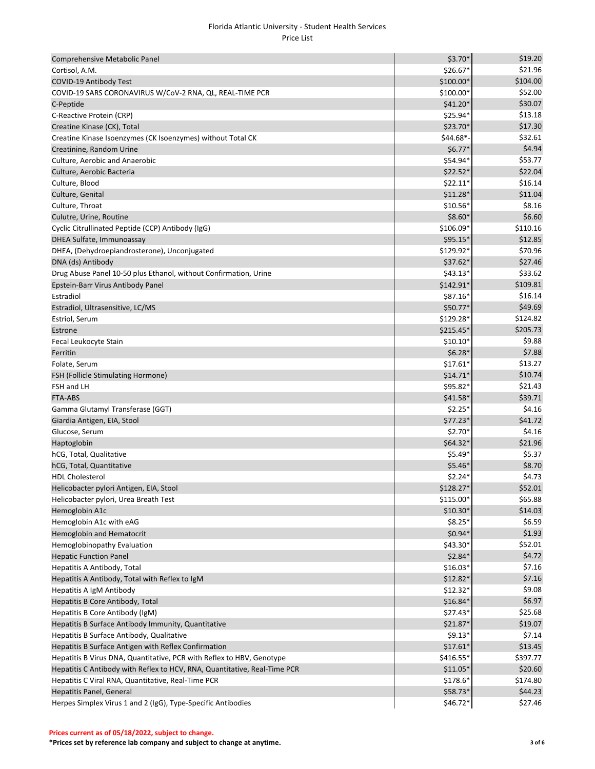| Comprehensive Metabolic Panel                                             | $$3.70*$   | \$19.20  |
|---------------------------------------------------------------------------|------------|----------|
| Cortisol, A.M.                                                            | \$26.67*   | \$21.96  |
| COVID-19 Antibody Test                                                    | \$100.00*  | \$104.00 |
| COVID-19 SARS CORONAVIRUS W/CoV-2 RNA, QL, REAL-TIME PCR                  | \$100.00*  | \$52.00  |
| C-Peptide                                                                 | $$41.20*$  | \$30.07  |
| C-Reactive Protein (CRP)                                                  | \$25.94*   | \$13.18  |
| Creatine Kinase (CK), Total                                               | \$23.70*   | \$17.30  |
| Creatine Kinase Isoenzymes (CK Isoenzymes) without Total CK               | \$44.68*   | \$32.61  |
| Creatinine, Random Urine                                                  | $$6.77*$   | \$4.94   |
| Culture, Aerobic and Anaerobic                                            | \$54.94*   | \$53.77  |
| Culture, Aerobic Bacteria                                                 | $$22.52*$  | \$22.04  |
| Culture, Blood                                                            | $$22.11*$  | \$16.14  |
| Culture, Genital                                                          | $$11.28*$  | \$11.04  |
| Culture, Throat                                                           | $$10.56*$  | \$8.16   |
| Culutre, Urine, Routine                                                   | $$8.60*$   | \$6.60   |
| Cyclic Citrullinated Peptide (CCP) Antibody (IgG)                         | \$106.09*  | \$110.16 |
| DHEA Sulfate, Immunoassay                                                 | \$95.15*   | \$12.85  |
| DHEA, (Dehydroepiandrosterone), Unconjugated                              | \$129.92*  | \$70.96  |
| DNA (ds) Antibody                                                         | \$37.62*   | \$27.46  |
| Drug Abuse Panel 10-50 plus Ethanol, without Confirmation, Urine          | $$43.13*$  | \$33.62  |
| Epstein-Barr Virus Antibody Panel                                         | \$142.91*  | \$109.81 |
| Estradiol                                                                 | \$87.16*   | \$16.14  |
| Estradiol, Ultrasensitive, LC/MS                                          | \$50.77*   | \$49.69  |
| Estriol, Serum                                                            | \$129.28*  | \$124.82 |
| Estrone                                                                   | $$215.45*$ | \$205.73 |
| Fecal Leukocyte Stain                                                     | $$10.10*$  | \$9.88   |
| Ferritin                                                                  | $$6.28*$   | \$7.88   |
| Folate, Serum                                                             | $$17.61*$  | \$13.27  |
| FSH (Follicle Stimulating Hormone)                                        | $$14.71*$  | \$10.74  |
| FSH and LH                                                                | \$95.82*   | \$21.43  |
| FTA-ABS                                                                   | \$41.58*   | \$39.71  |
| Gamma Glutamyl Transferase (GGT)                                          | $$2.25*$   | \$4.16   |
| Giardia Antigen, EIA, Stool                                               | \$77.23*   | \$41.72  |
| Glucose, Serum                                                            | $$2.70*$   | \$4.16   |
| Haptoglobin                                                               | $$64.32*$  | \$21.96  |
| hCG, Total, Qualitative                                                   | $$5.49*$   | \$5.37   |
| hCG, Total, Quantitative                                                  | $$5.46*$   | \$8.70   |
| <b>HDL Cholesterol</b>                                                    | $$2.24*$   | \$4.73   |
| Helicobacter pylori Antigen, EIA, Stool                                   | \$128.27*  | \$52.01  |
| Helicobacter pylori, Urea Breath Test                                     | $$115.00*$ | \$65.88  |
| Hemoglobin A1c                                                            | $$10.30*$  | \$14.03  |
| Hemoglobin A1c with eAG                                                   | $$8.25*$   | \$6.59   |
| Hemoglobin and Hematocrit                                                 | $$0.94*$   | \$1.93   |
| Hemoglobinopathy Evaluation                                               | \$43.30*   | \$52.01  |
| <b>Hepatic Function Panel</b>                                             | $$2.84*$   | \$4.72   |
| Hepatitis A Antibody, Total                                               | $$16.03*$  | \$7.16   |
| Hepatitis A Antibody, Total with Reflex to IgM                            | $$12.82*$  | \$7.16   |
| Hepatitis A IgM Antibody                                                  | $$12.32*$  | \$9.08   |
| Hepatitis B Core Antibody, Total                                          | \$16.84*   | \$6.97   |
| Hepatitis B Core Antibody (IgM)                                           | \$27.43*   | \$25.68  |
| Hepatitis B Surface Antibody Immunity, Quantitative                       | \$21.87*   | \$19.07  |
| Hepatitis B Surface Antibody, Qualitative                                 | $$9.13*$   | \$7.14   |
| Hepatitis B Surface Antigen with Reflex Confirmation                      | $$17.61*$  | \$13.45  |
| Hepatitis B Virus DNA, Quantitative, PCR with Reflex to HBV, Genotype     | \$416.55*  | \$397.77 |
| Hepatitis C Antibody with Reflex to HCV, RNA, Quantitative, Real-Time PCR | $$11.05*$  | \$20.60  |
| Hepatitis C Viral RNA, Quantitative, Real-Time PCR                        | $$178.6*$  | \$174.80 |
| Hepatitis Panel, General                                                  | \$58.73*   | \$44.23  |
| Herpes Simplex Virus 1 and 2 (IgG), Type-Specific Antibodies              | \$46.72*   | \$27.46  |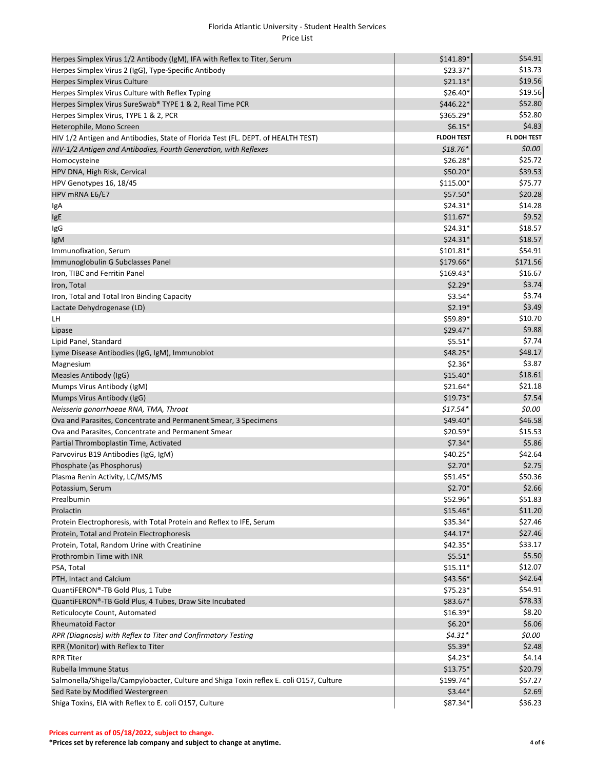| Herpes Simplex Virus 1/2 Antibody (IgM), IFA with Reflex to Titer, Serum                | \$141.89*         | \$54.91     |
|-----------------------------------------------------------------------------------------|-------------------|-------------|
| Herpes Simplex Virus 2 (IgG), Type-Specific Antibody                                    | $$23.37*$         | \$13.73     |
| Herpes Simplex Virus Culture                                                            | $$21.13*$         | \$19.56     |
| Herpes Simplex Virus Culture with Reflex Typing                                         | $$26.40*$         | \$19.56     |
| Herpes Simplex Virus SureSwab® TYPE 1 & 2, Real Time PCR                                | \$446.22*         | \$52.80     |
| Herpes Simplex Virus, TYPE 1 & 2, PCR                                                   | \$365.29*         | \$52.80     |
| Heterophile, Mono Screen                                                                | $$6.15*$          | \$4.83      |
| HIV 1/2 Antigen and Antibodies, State of Florida Test (FL. DEPT. of HEALTH TEST)        | <b>FLDOH TEST</b> | FL DOH TEST |
| HIV-1/2 Antigen and Antibodies, Fourth Generation, with Reflexes                        | $$18.76*$         | \$0.00\$    |
| Homocysteine                                                                            | $$26.28*$         | \$25.72     |
| HPV DNA, High Risk, Cervical                                                            | $$50.20*$         | \$39.53     |
| HPV Genotypes 16, 18/45                                                                 | $$115.00*$        | \$75.77     |
| HPV mRNA E6/E7                                                                          | \$57.50*          | \$20.28     |
| IgA                                                                                     | $$24.31*$         | \$14.28     |
| IgE                                                                                     | $$11.67*$         | \$9.52      |
| IgG                                                                                     | $$24.31*$         | \$18.57     |
| IgM                                                                                     | $$24.31*$         | \$18.57     |
| Immunofixation, Serum                                                                   | $$101.81*$        | \$54.91     |
| Immunoglobulin G Subclasses Panel                                                       | \$179.66*         | \$171.56    |
| Iron, TIBC and Ferritin Panel                                                           | $$169.43*$        | \$16.67     |
| Iron, Total                                                                             | $$2.29*$          | \$3.74      |
| Iron, Total and Total Iron Binding Capacity                                             | $$3.54*$          | \$3.74      |
| Lactate Dehydrogenase (LD)                                                              | $$2.19*$          | \$3.49      |
| LH                                                                                      | $$59.89*$         | \$10.70     |
| Lipase                                                                                  | $$29.47*$         | \$9.88      |
| Lipid Panel, Standard                                                                   | $$5.51*$          | \$7.74      |
| Lyme Disease Antibodies (IgG, IgM), Immunoblot                                          | $$48.25*$         | \$48.17     |
| Magnesium                                                                               | $$2.36*$          | \$3.87      |
| Measles Antibody (IgG)                                                                  | $$15.40*$         | \$18.61     |
| Mumps Virus Antibody (IgM)                                                              | $$21.64*$         | \$21.18     |
| Mumps Virus Antibody (IgG)                                                              | $$19.73*$         | \$7.54      |
| Neisseria gonorrhoeae RNA, TMA, Throat                                                  | $$17.54*$         | \$0.00      |
| Ova and Parasites, Concentrate and Permanent Smear, 3 Specimens                         | $$49.40*$         | \$46.58     |
| Ova and Parasites, Concentrate and Permanent Smear                                      | $$20.59*$         | \$15.53     |
| Partial Thromboplastin Time, Activated                                                  | $$7.34*$          | \$5.86      |
| Parvovirus B19 Antibodies (IgG, IgM)                                                    | $$40.25*$         | \$42.64     |
| Phosphate (as Phosphorus)                                                               | $$2.70*$          | \$2.75      |
| Plasma Renin Activity, LC/MS/MS                                                         | $$51.45*$         | \$50.36     |
| Potassium, Serum                                                                        | $$2.70*$          | \$2.66      |
| Prealbumin                                                                              | \$52.96*          | \$51.83     |
| Prolactin                                                                               | $$15.46*$         | \$11.20     |
| Protein Electrophoresis, with Total Protein and Reflex to IFE, Serum                    | \$35.34*          | \$27.46     |
| Protein, Total and Protein Electrophoresis                                              | $$44.17*$         | \$27.46     |
| Protein, Total, Random Urine with Creatinine                                            | \$42.35*          | \$33.17     |
| Prothrombin Time with INR                                                               | $$5.51*$          | \$5.50      |
| PSA, Total                                                                              | $$15.11*$         | \$12.07     |
| PTH, Intact and Calcium                                                                 | \$43.56*          | \$42.64     |
| QuantiFERON®-TB Gold Plus, 1 Tube                                                       | \$75.23*          | \$54.91     |
| QuantiFERON®-TB Gold Plus, 4 Tubes, Draw Site Incubated                                 | \$83.67*          | \$78.33     |
| Reticulocyte Count, Automated                                                           | $$16.39*$         | \$8.20      |
| <b>Rheumatoid Factor</b>                                                                | $$6.20*$          | \$6.06      |
| RPR (Diagnosis) with Reflex to Titer and Confirmatory Testing                           | $$4.31*$          | \$0.00      |
| RPR (Monitor) with Reflex to Titer                                                      | $$5.39*$          | \$2.48      |
| <b>RPR Titer</b>                                                                        | $$4.23*$          | \$4.14      |
| Rubella Immune Status                                                                   | $$13.75*$         | \$20.79     |
| Salmonella/Shigella/Campylobacter, Culture and Shiga Toxin reflex E. coli O157, Culture | \$199.74*         | \$57.27     |
| Sed Rate by Modified Westergreen                                                        | $$3.44*$          | \$2.69      |
| Shiga Toxins, EIA with Reflex to E. coli O157, Culture                                  | \$87.34*          | \$36.23     |

**\*Prices set by reference lab company and subject to change at anytime. 4 of 6**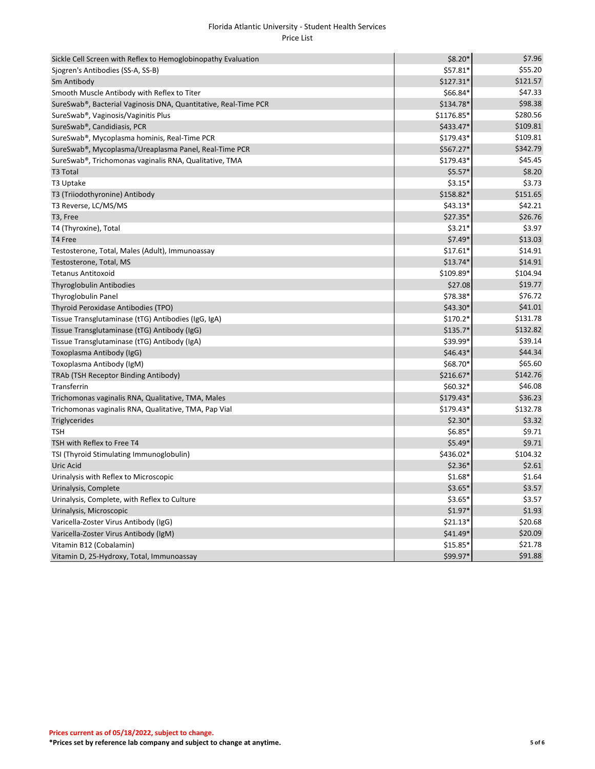| Sickle Cell Screen with Reflex to Hemoglobinopathy Evaluation   | $$8.20*$   | \$7.96   |
|-----------------------------------------------------------------|------------|----------|
| Sjogren's Antibodies (SS-A, SS-B)                               | \$57.81*   | \$55.20  |
| Sm Antibody                                                     | $$127.31*$ | \$121.57 |
| Smooth Muscle Antibody with Reflex to Titer                     | \$66.84*   | \$47.33  |
| SureSwab®, Bacterial Vaginosis DNA, Quantitative, Real-Time PCR | \$134.78*  | \$98.38  |
| SureSwab <sup>®</sup> , Vaginosis/Vaginitis Plus                | \$1176.85* | \$280.56 |
| SureSwab®, Candidiasis, PCR                                     | \$433.47*  | \$109.81 |
| SureSwab®, Mycoplasma hominis, Real-Time PCR                    | $$179.43*$ | \$109.81 |
| SureSwab®, Mycoplasma/Ureaplasma Panel, Real-Time PCR           | \$567.27*  | \$342.79 |
| SureSwab®, Trichomonas vaginalis RNA, Qualitative, TMA          | $$179.43*$ | \$45.45  |
| T3 Total                                                        | $$5.57*$   | \$8.20   |
| T3 Uptake                                                       | $$3.15*$   | \$3.73   |
| T3 (Triiodothyronine) Antibody                                  | \$158.82*  | \$151.65 |
| T3 Reverse, LC/MS/MS                                            | $$43.13*$  | \$42.21  |
| T3, Free                                                        | \$27.35*   | \$26.76  |
| T4 (Thyroxine), Total                                           | $$3.21*$   | \$3.97   |
| T4 Free                                                         | $$7.49*$   | \$13.03  |
| Testosterone, Total, Males (Adult), Immunoassay                 | $$17.61*$  | \$14.91  |
| Testosterone, Total, MS                                         | \$13.74*   | \$14.91  |
| <b>Tetanus Antitoxoid</b>                                       | \$109.89*  | \$104.94 |
| <b>Thyroglobulin Antibodies</b>                                 | \$27.08    | \$19.77  |
| Thyroglobulin Panel                                             | \$78.38*   | \$76.72  |
| Thyroid Peroxidase Antibodies (TPO)                             | \$43.30*   | \$41.01  |
| Tissue Transglutaminase (tTG) Antibodies (IgG, IgA)             | $$170.2*$  | \$131.78 |
| Tissue Transglutaminase (tTG) Antibody (IgG)                    | $$135.7*$  | \$132.82 |
| Tissue Transglutaminase (tTG) Antibody (IgA)                    | \$39.99*   | \$39.14  |
| Toxoplasma Antibody (IgG)                                       | $$46.43*$  | \$44.34  |
| Toxoplasma Antibody (IgM)                                       | \$68.70*   | \$65.60  |
| TRAb (TSH Receptor Binding Antibody)                            | \$216.67*  | \$142.76 |
| Transferrin                                                     | $$60.32*$  | \$46.08  |
| Trichomonas vaginalis RNA, Qualitative, TMA, Males              | $$179.43*$ | \$36.23  |
| Trichomonas vaginalis RNA, Qualitative, TMA, Pap Vial           | $$179.43*$ | \$132.78 |
| Triglycerides                                                   | $$2.30*$   | \$3.32   |
| <b>TSH</b>                                                      | $$6.85*$   | \$9.71   |
| TSH with Reflex to Free T4                                      | $$5.49*$   | \$9.71   |
| TSI (Thyroid Stimulating Immunoglobulin)                        | \$436.02*  | \$104.32 |
| Uric Acid                                                       | $$2.36*$   | \$2.61   |
| Urinalysis with Reflex to Microscopic                           | $$1.68*$   | \$1.64   |
| Urinalysis, Complete                                            | $$3.65*$   | \$3.57   |
| Urinalysis, Complete, with Reflex to Culture                    | $$3.65*$   | \$3.57   |
| Urinalysis, Microscopic                                         | $$1.97*$   | \$1.93   |
| Varicella-Zoster Virus Antibody (IgG)                           | $$21.13*$  | \$20.68  |
| Varicella-Zoster Virus Antibody (IgM)                           | \$41.49*   | \$20.09  |
| Vitamin B12 (Cobalamin)                                         | $$15.85*$  | \$21.78  |
| Vitamin D, 25-Hydroxy, Total, Immunoassay                       | \$99.97*   | \$91.88  |